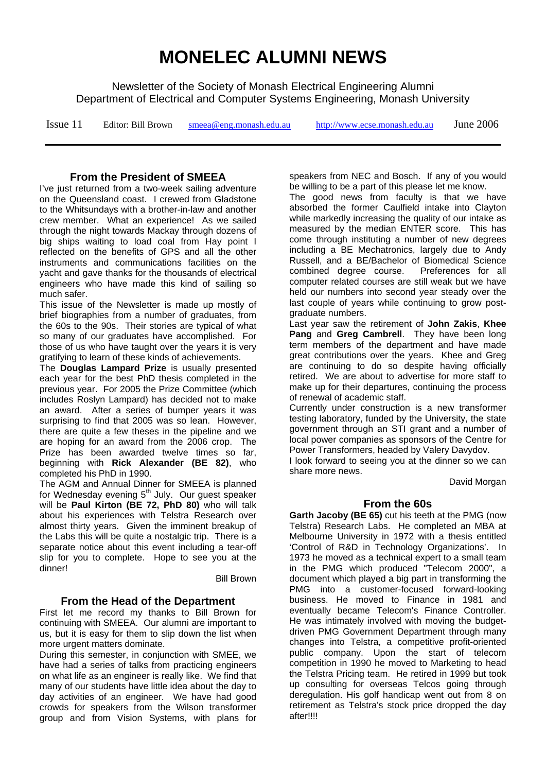# **MONELEC ALUMNI NEWS**

Newsletter of the Society of Monash Electrical Engineering Alumni Department of Electrical and Computer Systems Engineering, Monash University

| Issue 11 | Editor: Bill Brown | smeea@eng.monash.edu.au | http://www.ecse.monash.edu.au | June 2006 |
|----------|--------------------|-------------------------|-------------------------------|-----------|
|----------|--------------------|-------------------------|-------------------------------|-----------|

### **From the President of SMEEA**

I've just returned from a two-week sailing adventure on the Queensland coast. I crewed from Gladstone to the Whitsundays with a brother-in-law and another crew member. What an experience! As we sailed through the night towards Mackay through dozens of big ships waiting to load coal from Hay point I reflected on the benefits of GPS and all the other instruments and communications facilities on the yacht and gave thanks for the thousands of electrical engineers who have made this kind of sailing so much safer.

This issue of the Newsletter is made up mostly of brief biographies from a number of graduates, from the 60s to the 90s. Their stories are typical of what so many of our graduates have accomplished. For those of us who have taught over the years it is very gratifying to learn of these kinds of achievements.

The **Douglas Lampard Prize** is usually presented each year for the best PhD thesis completed in the previous year. For 2005 the Prize Committee (which includes Roslyn Lampard) has decided not to make an award. After a series of bumper years it was surprising to find that 2005 was so lean. However, there are quite a few theses in the pipeline and we are hoping for an award from the 2006 crop. The Prize has been awarded twelve times so far, beginning with **Rick Alexander (BE 82)**, who completed his PhD in 1990.

The AGM and Annual Dinner for SMEEA is planned for Wednesday evening 5<sup>th</sup> July. Our guest speaker will be **Paul Kirton (BE 72, PhD 80)** who will talk about his experiences with Telstra Research over almost thirty years. Given the imminent breakup of the Labs this will be quite a nostalgic trip. There is a separate notice about this event including a tear-off slip for you to complete. Hope to see you at the dinner!

Bill Brown

### **From the Head of the Department**

First let me record my thanks to Bill Brown for continuing with SMEEA. Our alumni are important to us, but it is easy for them to slip down the list when more urgent matters dominate.

During this semester, in conjunction with SMEE, we have had a series of talks from practicing engineers on what life as an engineer is really like. We find that many of our students have little idea about the day to day activities of an engineer. We have had good crowds for speakers from the Wilson transformer group and from Vision Systems, with plans for speakers from NEC and Bosch. If any of you would be willing to be a part of this please let me know.

The good news from faculty is that we have absorbed the former Caulfield intake into Clayton while markedly increasing the quality of our intake as measured by the median ENTER score. This has come through instituting a number of new degrees including a BE Mechatronics, largely due to Andy Russell, and a BE/Bachelor of Biomedical Science combined degree course. Preferences for all computer related courses are still weak but we have held our numbers into second year steady over the last couple of years while continuing to grow postgraduate numbers.

Last year saw the retirement of **John Zakis**, **Khee Pang** and **Greg Cambrell**. They have been long term members of the department and have made great contributions over the years. Khee and Greg are continuing to do so despite having officially retired. We are about to advertise for more staff to make up for their departures, continuing the process of renewal of academic staff.

Currently under construction is a new transformer testing laboratory, funded by the University, the state government through an STI grant and a number of local power companies as sponsors of the Centre for Power Transformers, headed by Valery Davydov.

I look forward to seeing you at the dinner so we can share more news.

David Morgan

### **From the 60s**

**Garth Jacoby (BE 65)** cut his teeth at the PMG (now Telstra) Research Labs. He completed an MBA at Melbourne University in 1972 with a thesis entitled 'Control of R&D in Technology Organizations'. In 1973 he moved as a technical expert to a small team in the PMG which produced "Telecom 2000", a document which played a big part in transforming the PMG into a customer-focused forward-looking business. He moved to Finance in 1981 and eventually became Telecom's Finance Controller. He was intimately involved with moving the budgetdriven PMG Government Department through many changes into Telstra, a competitive profit-oriented public company. Upon the start of telecom competition in 1990 he moved to Marketing to head the Telstra Pricing team. He retired in 1999 but took up consulting for overseas Telcos going through deregulation. His golf handicap went out from 8 on retirement as Telstra's stock price dropped the day after!!!!